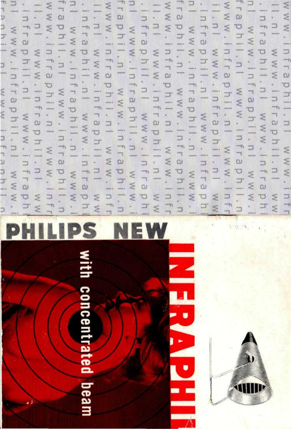# with concentrated beam



**REZ-53** 

# $\frac{1}{2}$   $\frac{1}{2}$   $\frac{1}{2}$   $\leq$   $\frac{1}{2}$   $\geq$   $\frac{1}{2}$   $\geq$ **PHILIPS NEW**

l u  $\frac{3}{5}$  $\frac{1}{2}$ |<br>|<br>|<br>|<br>|<br>|<br>|  $U \geq$ 5 -, L, \_! S -, \_ L. "^ -\ \_ L. \_! S -, "\_\_. \_ 'S.  $\S$   $\alpha$   $\beta$   $\cdot$   $\S$   $\alpha$   $\beta$   $\cdot$   $\S$   $\alpha$   $\beta$   $\cdot$   $\S$   $\alpha$   $\beta$   $\cdot$   $\S$   $\alpha$   $\beta$   $\cdot$   $\S$  $\begin{aligned} &\pi > \sigma \geq \tau \Rightarrow \sigma \geq \tau \Rightarrow \sigma \geq \tau \Rightarrow \sigma \geq \tau \Rightarrow \sigma \geq \tau \end{aligned}$  $\Box$ MMM . In Fraphil. n I WWW. In Fr  $25.7$  $T^2$   $T^2$   $T^2$  $\frac{1}{2} - \frac{1}{2} \leq \frac{1}{2} - \frac{1}{2} \leq \frac{1}{2} - \frac{1}{2} \leq \frac{1}{2} - \frac{1}{2} \leq \frac{1}{2} - \frac{1}{2}$  $\exists$  —  $W W$   $W$   $\colon$  in fraphil  $\colon$  n  $\colon$  w  $W$   $\colon$  in fr www.infraphil.nl www. fraphil.nl www.infraphil.n  $503 - 203 - 203$ IS ^T=3 1. f[ 5 1^:3 L. I S I^<sup>3</sup>  $- \leq \omega - 5 - 5 = \omega - 5 - 6$  $\frac{1}{2}$   $\cdot$   $\frac{1}{2}$   $\cdot$   $\frac{1}{2}$   $\cdot$   $\frac{1}{2}$   $\cdot$   $\frac{1}{2}$  $\frac{1}{2}$  $\frac{1}{2}$  $\leq$   $\frac{1}{2}$  $\leq$  $\frac{1}{2}$  $\leq$  $\leq$  $\leq$  $T - T$  $=$   $\leq$   $\omega$ il.nl www.infraphil.nl www.<br>.infraphil.nl www.infraphi  $\begin{array}{ccc} 0 & -\frac{1}{2} & -\frac{1}{2} & -\frac{1}{2} & -\frac{1}{2} & -\frac{1}{2} & -\frac{1}{2} & -\frac{1}{2} & -\frac{1}{2} & -\frac{1}{2} & -\frac{1}{2} & -\frac{1}{2} & -\frac{1}{2} & -\frac{1}{2} & -\frac{1}{2} & -\frac{1}{2} & -\frac{1}{2} & -\frac{1}{2} & -\frac{1}{2} & -\frac{1}{2} & -\frac{1}{2} & -\frac{1}{2} & -\frac{1}{2} & -\frac{1}{2} & -\frac$ 3 .  $n T$   $-$ H 3 §  $\frac{1}{2}$ 0 3 . <u>J 5 0 3 . J 5 0 3 . J 5 0 3</u> . J 5 0 3 -j-j — — — ^T3 — — "O — — \*~"O — — X3 — —*\ <\** ~l< r —S< " ™5< ^ • ^ 3- 3 . \_. <~ <sup>h</sup> , < —i \*^ *-\* \*~ -s *~\* \_  $\frac{1}{2}$   $\frac{1}{2}$   $\frac{1}{2}$   $\frac{1}{2}$   $\frac{1}{2}$   $\frac{1}{2}$   $\frac{1}{2}$   $\frac{1}{2}$   $\frac{1}{2}$   $\frac{1}{2}$   $\frac{1}{2}$   $\frac{1}{2}$   $\frac{1}{2}$   $\frac{1}{2}$   $\frac{1}{2}$   $\frac{1}{2}$   $\frac{1}{2}$   $\frac{1}{2}$   $\frac{1}{2}$   $\frac{1}{2}$   $\frac{1}{2}$   $\frac{1}{2}$   $3.5<sup>2</sup>$ fraphil.nl www.infraphil.n J • 5 3- 3 . <  $\leq$   $\alpha$   $\leq$   $\alpha$   $\leq$   $\alpha$   $\leq$   $\alpha$   $\leq$   $\alpha$   $\leq$   $\frac{1}{2}$   $\frac{1}{2}$   $\frac{1}{2}$   $\frac{1}{2}$   $\frac{1}{2}$   $\frac{1}{2}$   $\frac{1}{2}$   $\frac{1}{2}$   $\frac{1}{2}$   $\frac{1}{2}$  $\frac{1}{2} - \frac{1}{2} = \frac{1}{2}$  $5.37 - 7.37$ cu ÜJ \_. T3 g 3  $T \leq 7$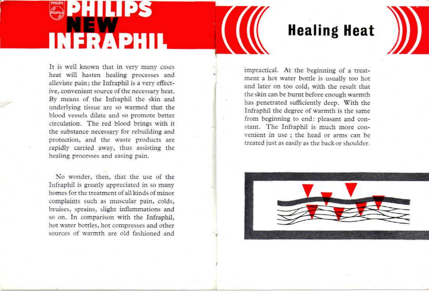# HI 112S **INFRAPHIL**

It is well known that in very many cases heat will hasten healing processes and alleviate pain; the Infraphil is a very effective, convenient source of the necessary heat. By means of the Infraphil the skin and underlying tissue are so warmed that the blood vessels dilate and so promote better circulation. The red blood brings with it the substance necessary for rebuilding and protection, and the waste products are rapidly carried away, thus assisting the

No wonder, then, that the use of the Infraphil is greatly appreciated in so many homes for the treatment of all kinds of minor complaints such as muscular pain, colds, bruises, sprains, slight inflammations and so on. In comparison with the Infraphil, hot water bottles, hot compresses and other sources of warmth are old fashioned and

healing processes and easing pain.

# **Healing Heat**

impractical. At the beginning of a treatment a hot water bottle is usually too hot and later on too cold, with the result that the skin can be burnt before enough warmth has penetrated sufficiently deep. With the Infraphil the degree of warmth is the same from beginning to end: pleasant and constant. The Infraphil is much more convenient in use ; the head or arms can be treated just as easily as the back or shoulder.

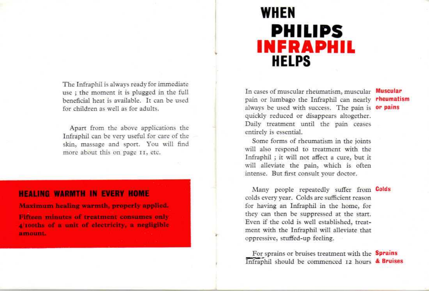The Infraphil is always ready for immediate use ; the moment it is plugged in the full beneficial heat is available. It can be used for children as well as for adults.

Apart from the above applications the Infraphil can be very useful for care of the skin, massage and sport. You will find more about this on page 11, etc.

### **HEALING WARMTH IN EVERY HOME**

**Maximum healing warmth, properly applied. Fifteen minutes of treatment consumes only 4/lOOths of a unit of electricity, a negligible** amount.

## **WHEN PHILIPS INFRAPHIL HELPS**

In cases of muscular rheumatism, muscular Muscular pain or lumbago the Infraphil can nearly **rheumatism** always be used with success. The pain is or pains quickly reduced or disappears altogether. Daily treatment until the pain ceases entirely is essential.

Some forms of rheumatism in the joints will also respond to treatment with the Infraphil ; it will not affect a cure, but it will alleviate the pain, which is often intense. But first consult your doctor.

Many people repeatedly suffer from **Colds** colds every year. Colds are sufficient reason for having an Infraphil in the home, for they can then be suppressed at the start. Even if the cold is well established, treatment with the Infraphil will alleviate that oppressive, stuffed-up feeling.

For sprains or bruises treatment with the **Sprains** Infraphil should be commenced 12 hours & Bruises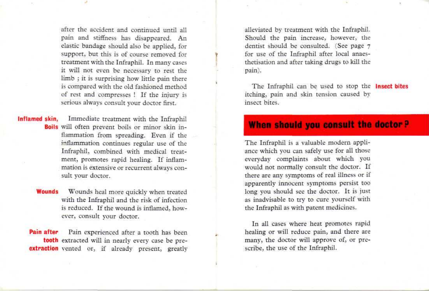after the accident and continued until all pain and stiffness has disappeared. An elastic bandage should also be applied, for support, but this is of course removed for treatment with the Infraphil. In many cases it will not even be necessary to rest the limb ; it is surprising how little pain there is compared with the old fashioned method of rest and compresses ! If the injury is serious always consult your doctor first.

**Inflamed skin,** Immediate treatment with the Infraphil **Boils** will often prevent boils or minor skin inflammation from spreading. Even if the inflammation continues regular use of the Infraphil, combined with medical treatment, promotes rapid healing. If inflammation is extensive or recurrent always consult your doctor.

> **Wounds** Wounds heal more quickly when treated with the Infraphil and the risk of infection is reduced. If the wound is inflamed, however, consult your doctor.

Pain after Pain experienced after a tooth has been **tooth** extracted will in nearly every case be pre**extraction** vented or, if already present, greatly alleviated by treatment with the Infraphil. Should the pain increase, however, the dentist should be consulted. (See page 7 for use of the Infraphil after local anaesthetisation and after taking drugs to kill the pain).

The Infraphil can be used to stop the **Insect bites** itching, pain and skin tension caused by insect bites.

### **When should you consult the doctor?**

The Infraphil is a valuable modern appliance which you can safely use for all those everyday complaints about which you would not normally consult the doctor. If there are any symptoms of real illness or if apparently innocent symptoms persist too long you should see the doctor. It is just as inadvisable to try to cure yourself with the Infraphil as with patent medicines.

In all cases where heat promotes rapid healing or will reduce pain, and there are many, the doctor will approve of, or prescribe, the use of the Infraphil.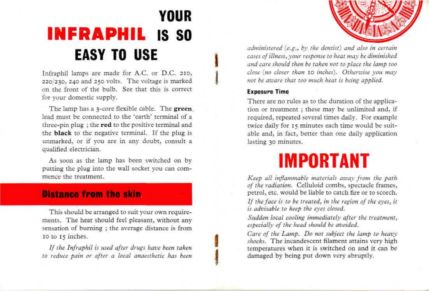# YOUR **INFRAPHIL** IS SO **EASY TO USE**

Infraphil lamps are made for A.C. or D.C. 210, 220/230, 240 and 250 volts. The voltage is marked on the front of the bulb. See that this is correct for your domestic supply.

The lamp has a 3-core flexible cable. The **green** lead must be connected to the 'earth' terminal of a three-pin plug ; the **red** to the positive terminal and the **black** to the negative terminal. If the plug is unmarked, or if you are in any doubt, consult a qualified electrician.

As soon as the lamp has been switched on by putting the plug into the wall socket you can commence the treatment.

### **Distance from the skin**

This should be arranged to suit your own requirements. The heat should feel pleasant, without any sensation of burning ; the average distance is from IO to 15 inches.

*If the Infraphil is used af ter drugs have been taken to reduce pain or after a local anaestketic has been*



*administered (e.g., by the dentist) and also in certain cases of illness, your response to heat may be diminished and care should then be taken not to place the lamp too close (no closer than* 10 *inches). Otherwise you may not be aware that too much heat is being applied.*

### **Exposure Time**

There are no rules as to the duration of the application or treatment ; these may be unlimited and, if required, repeated several times daily. For example twice daily for 15 minutes each time would be suitable and, in fact, better than one daily application lasting 30 minutes.

# **IMPORTANT**

*Keep all inflammable materials aiuay from the path of the radiation.* Celluloid combs, spectacle frames, petrol, etc. would be liable to catch fire or to scorch.

*If the face is to be treated, in the region of the eyes, it is advisable to keep the eyes closed.*

*Sudden local cooling immediately after the treatment, especially of the head should be avoided.*

*Care of the Lamp. Do not subject the lamp to heavy shocks.* The incandescent filament attains very high temperatures when it is switched on and it can be damaged by being put down very abruptly.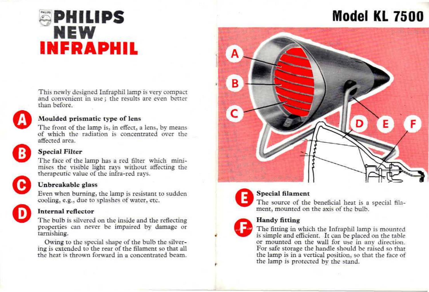# **\$ PHILIPS NEW INFRAPHIL**



### **Moulded prismatic type of lens**

The front of the lamp is, in effect, a lens, by means of which the radiation is concentrated over the affected area.

This newly designed Infraphil lamp is very compact and convenient in use; the results are even better



### **Special Filter**

than before.

The face of the lamp has a red filter which minimises the visible light rays without affecting the therapeutic value of the infra-red rays.



### **Unbreakable glass**

Even when burning, the lamp is resistant to sudden cooling, e.g., due to splashes of water, etc.

### **Internal reflector**

The bulb is silvered on the inside and the reflecting properties can never be impaired by damage or tarnishing.

Owing to the special shape of the bulb the silvering is extended to the rear of the filament so that all the heat is thrown forward in a concentrated beam.

# **Model KL 7500**





### **Special filament**

The source of the beneficial heat is a special filament, mounted on the axis of the bulb.



r

### **Handy fitting**

The fitting in which the Infraphil lamp is mounted is simple and efficiënt. It can be placed on the table or mounted on the wall for use in any direction. For safe storage the handle should be raised so that the lamp is in a vertical position, so that the face of the lamp is protected by the stand.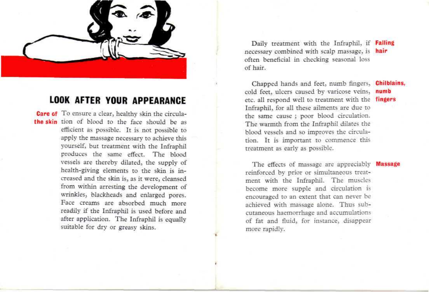

### **LOOK AFTER YOUR APPEARANCE**

**Care of** To ensure a clear, healthy skin the circulathe skin tion of blood to the face should be as efficiënt as possible. It is not possible to apply the massage necessary to achieve this yourself, but treatment with the Infraphil produces the same effect. The blood vessels are thereby dilated, the supply of health-giving elements to the skin is increased and the skin is, as it were, cleansed from within arresting the development of wrinkles, blackheads and enlarged pores. Face creams are absorbed much more readily if the Infraphil is used before and after application. The Infraphil is equally suitable for dry or greasy skins.

Daily treatment with the Infraphil, if Falling necessary combined with scalp massage, is hair often beneficial in checking seasonal loss of hair.

Chapped hands and feet, numb fingers, Chilblains, cold feet, ulcers caused by varicose veins, numb etc. all respond well to treatment with the fingers Infraphil, for all these ailments are due to the same cause ; poor blood circulation. The warmth from the Infraphil dilates the blood vessels and so improves the circulation. It is important to commence this treatment as early as possible.

### The effects of massage are appreciably **Massage**

reinforced by prior or simultaneous treatment with the Infraphil. The muscles become more supple and circulation is encouraged to an extent that can never be achieved with massage alone. Thus subcutaneous haemorrhage and accumulations of fat and fluid, for instance, disappear more rapidly.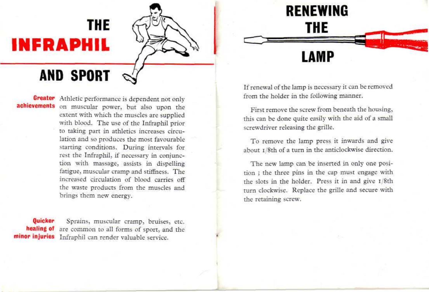# **THE INFRAPHIL**



•

# AND SPORT

**Greater** Athletic performance is dependent not only achievements on muscular power, but also upon the extent with which the muscles are supplied with blood. The use of the Infraphil prior to taking part in athletics increases circulation and so produces the most favourable starting conditions. During intervals for rest the Infraphil, if necessary in conjunction with massage, assists in dispelling fatigue, muscular cramp and stiffhess. The increased circulation of blood carries off the waste products from the muscles and brings them new energy.

Quicker Sprains, muscular cramp, bruises, etc. **healing of** are common to all forms of sport, and the **minor injuries** Infraphil can render valuable service.

If renewal of the lamp is necessary it can be removed from the holder in the following manner.

**RENEWING**

**THE**

**LAMP**

First remove the screw from beneath the housing, this can be done quite easily with the aid of a small screwdriver releasing the grille.

To remove the lamp press it inwards and give about i/8th of a turn in the anticlockwise direction.

The new lamp can be inserted in only one position ; the three pins in the cap must engage with the slots in the holder. Press it in and give i/8th turn clockwise. Replace the grille and secure with the retaining screw.